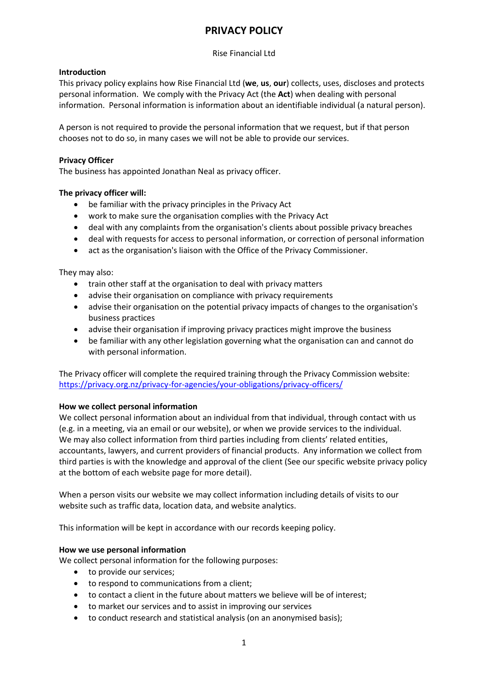# **PRIVACY POLICY**

## Rise Financial Ltd

# **Introduction**

This privacy policy explains how Rise Financial Ltd (**we**, **us**, **our**) collects, uses, discloses and protects personal information. We comply with the Privacy Act (the **Act**) when dealing with personal information. Personal information is information about an identifiable individual (a natural person).

A person is not required to provide the personal information that we request, but if that person chooses not to do so, in many cases we will not be able to provide our services.

## **Privacy Officer**

The business has appointed Jonathan Neal as privacy officer.

## **The privacy officer will:**

- be familiar with the privacy principles in the Privacy Act
- work to make sure the organisation complies with the Privacy Act
- deal with any complaints from the organisation's clients about possible privacy breaches
- deal with requests for access to personal information, or correction of personal information
- act as the organisation's liaison with the Office of the Privacy Commissioner.

They may also:

- train other staff at the organisation to deal with privacy matters
- advise their organisation on compliance with privacy requirements
- advise their organisation on the potential privacy impacts of changes to the organisation's business practices
- advise their organisation if improving privacy practices might improve the business
- be familiar with any other legislation governing what the organisation can and cannot do with personal information.

The Privacy officer will complete the required training through the Privacy Commission website: <https://privacy.org.nz/privacy-for-agencies/your-obligations/privacy-officers/>

#### **How we collect personal information**

We collect personal information about an individual from that individual, through contact with us (e.g. in a meeting, via an email or our website), or when we provide services to the individual. We may also collect information from third parties including from clients' related entities, accountants, lawyers, and current providers of financial products. Any information we collect from third parties is with the knowledge and approval of the client (See our specific website privacy policy at the bottom of each website page for more detail).

When a person visits our website we may collect information including details of visits to our website such as traffic data, location data, and website analytics.

This information will be kept in accordance with our records keeping policy.

#### **How we use personal information**

We collect personal information for the following purposes:

- to provide our services;
- to respond to communications from a client;
- to contact a client in the future about matters we believe will be of interest;
- to market our services and to assist in improving our services
- to conduct research and statistical analysis (on an anonymised basis);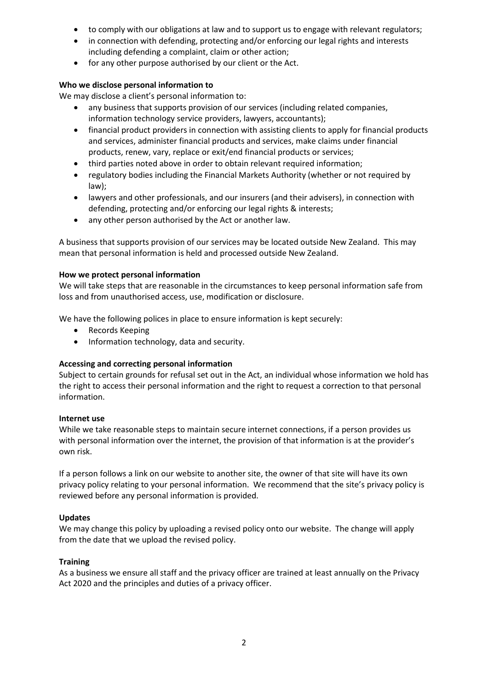- to comply with our obligations at law and to support us to engage with relevant regulators;
- in connection with defending, protecting and/or enforcing our legal rights and interests including defending a complaint, claim or other action;
- for any other purpose authorised by our client or the Act.

#### **Who we disclose personal information to**

We may disclose a client's personal information to:

- any business that supports provision of our services (including related companies, information technology service providers, lawyers, accountants);
- financial product providers in connection with assisting clients to apply for financial products and services, administer financial products and services, make claims under financial products, renew, vary, replace or exit/end financial products or services;
- third parties noted above in order to obtain relevant required information;
- regulatory bodies including the Financial Markets Authority (whether or not required by law);
- lawyers and other professionals, and our insurers (and their advisers), in connection with defending, protecting and/or enforcing our legal rights & interests;
- any other person authorised by the Act or another law.

A business that supports provision of our services may be located outside New Zealand. This may mean that personal information is held and processed outside New Zealand.

## **How we protect personal information**

We will take steps that are reasonable in the circumstances to keep personal information safe from loss and from unauthorised access, use, modification or disclosure.

We have the following polices in place to ensure information is kept securely:

- Records Keeping
- Information technology, data and security.

# **Accessing and correcting personal information**

Subject to certain grounds for refusal set out in the Act, an individual whose information we hold has the right to access their personal information and the right to request a correction to that personal information.

#### **Internet use**

While we take reasonable steps to maintain secure internet connections, if a person provides us with personal information over the internet, the provision of that information is at the provider's own risk.

If a person follows a link on our website to another site, the owner of that site will have its own privacy policy relating to your personal information. We recommend that the site's privacy policy is reviewed before any personal information is provided.

#### **Updates**

We may change this policy by uploading a revised policy onto our website. The change will apply from the date that we upload the revised policy.

#### **Training**

As a business we ensure all staff and the privacy officer are trained at least annually on the Privacy Act 2020 and the principles and duties of a privacy officer.